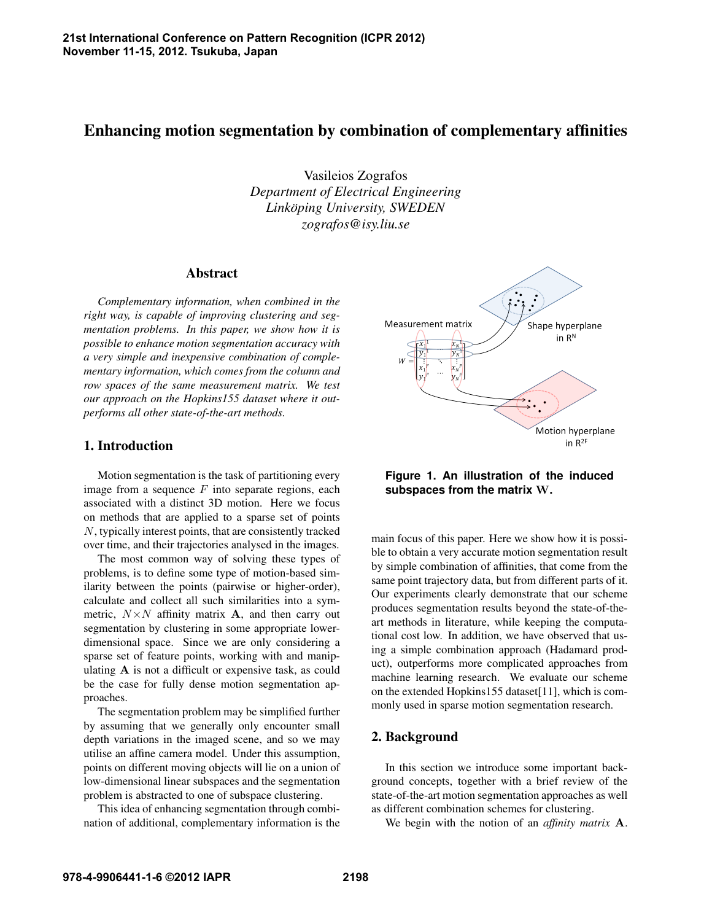# Enhancing motion segmentation by combination of complementary affinities

Vasileios Zografos *Department of Electrical Engineering Linköping University, SWEDEN zografos@isy.liu.se*

#### Abstract

*Complementary information, when combined in the right way, is capable of improving clustering and segmentation problems. In this paper, we show how it is possible to enhance motion segmentation accuracy with a very simple and inexpensive combination of complementary information, which comes from the column and row spaces of the same measurement matrix. We test our approach on the Hopkins155 dataset where it outperforms all other state-of-the-art methods.*

## 1. Introduction

Motion segmentation is the task of partitioning every image from a sequence  $F$  into separate regions, each associated with a distinct 3D motion. Here we focus on methods that are applied to a sparse set of points N, typically interest points, that are consistently tracked over time, and their trajectories analysed in the images.

The most common way of solving these types of problems, is to define some type of motion-based similarity between the points (pairwise or higher-order), calculate and collect all such similarities into a symmetric,  $N \times N$  affinity matrix **A**, and then carry out segmentation by clustering in some appropriate lowerdimensional space. Since we are only considering a sparse set of feature points, working with and manipulating A is not a difficult or expensive task, as could be the case for fully dense motion segmentation approaches.

The segmentation problem may be simplified further by assuming that we generally only encounter small depth variations in the imaged scene, and so we may utilise an affine camera model. Under this assumption, points on different moving objects will lie on a union of low-dimensional linear subspaces and the segmentation problem is abstracted to one of subspace clustering.

This idea of enhancing segmentation through combination of additional, complementary information is the



**Figure 1. An illustration of the induced subspaces from the matrix** W**.**

main focus of this paper. Here we show how it is possible to obtain a very accurate motion segmentation result by simple combination of affinities, that come from the same point trajectory data, but from different parts of it. Our experiments clearly demonstrate that our scheme produces segmentation results beyond the state-of-theart methods in literature, while keeping the computational cost low. In addition, we have observed that using a simple combination approach (Hadamard product), outperforms more complicated approaches from machine learning research. We evaluate our scheme on the extended Hopkins155 dataset[11], which is commonly used in sparse motion segmentation research.

# 2. Background

In this section we introduce some important background concepts, together with a brief review of the state-of-the-art motion segmentation approaches as well as different combination schemes for clustering.

We begin with the notion of an *affinity matrix* A.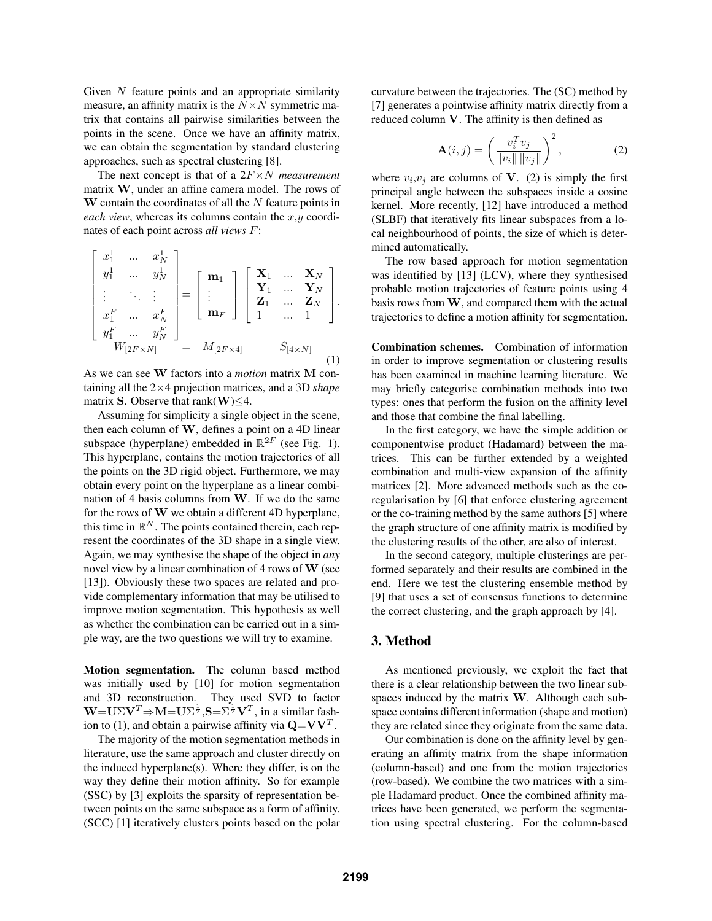Given N feature points and an appropriate similarity measure, an affinity matrix is the  $N \times N$  symmetric matrix that contains all pairwise similarities between the points in the scene. Once we have an affinity matrix, we can obtain the segmentation by standard clustering approaches, such as spectral clustering [8].

The next concept is that of a 2F×N *measurement* matrix W, under an affine camera model. The rows of  **contain the coordinates of all the**  $N$  **feature points in** *each view*, whereas its columns contain the  $x, y$  coordinates of each point across *all views* F:

$$
\begin{bmatrix} x_1^1 & \dots & x_N^1 \\ y_1^1 & \dots & y_N^1 \\ \vdots & \ddots & \vdots \\ x_1^F & \dots & x_N^F \\ y_1^F & \dots & y_N^F \end{bmatrix} = \begin{bmatrix} \mathbf{m}_1 \\ \vdots \\ \mathbf{m}_F \end{bmatrix} \begin{bmatrix} \mathbf{X}_1 & \dots & \mathbf{X}_N \\ \mathbf{Y}_1 & \dots & \mathbf{Y}_N \\ \mathbf{Z}_1 & \dots & \mathbf{Z}_N \\ 1 & \dots & 1 \end{bmatrix}.
$$
  
\n
$$
W_{[2F \times N]} = M_{[2F \times 4]} \qquad S_{[4 \times N]} \qquad (1)
$$

As we can see W factors into a *motion* matrix M containing all the 2×4 projection matrices, and a 3D *shape* matrix S. Observe that rank $(W) \leq 4$ .

Assuming for simplicity a single object in the scene, then each column of  $W$ , defines a point on a 4D linear subspace (hyperplane) embedded in  $\mathbb{R}^{2F}$  (see Fig. 1). This hyperplane, contains the motion trajectories of all the points on the 3D rigid object. Furthermore, we may obtain every point on the hyperplane as a linear combination of 4 basis columns from W. If we do the same for the rows of W we obtain a different 4D hyperplane, this time in  $\mathbb{R}^N$ . The points contained therein, each represent the coordinates of the 3D shape in a single view. Again, we may synthesise the shape of the object in *any* novel view by a linear combination of 4 rows of  $W$  (see [13]). Obviously these two spaces are related and provide complementary information that may be utilised to improve motion segmentation. This hypothesis as well as whether the combination can be carried out in a simple way, are the two questions we will try to examine.

Motion segmentation. The column based method was initially used by [10] for motion segmentation and 3D reconstruction. They used SVD to factor  $W = U\Sigma V^T \Rightarrow M = U\Sigma^{\frac{1}{2}}$ ,  $S = \Sigma^{\frac{1}{2}}V^T$ , in a similar fashion to (1), and obtain a pairwise affinity via  $\mathbf{Q} = \mathbf{V}\mathbf{V}^T$ .

The majority of the motion segmentation methods in literature, use the same approach and cluster directly on the induced hyperplane(s). Where they differ, is on the way they define their motion affinity. So for example (SSC) by [3] exploits the sparsity of representation between points on the same subspace as a form of affinity. (SCC) [1] iteratively clusters points based on the polar

curvature between the trajectories. The (SC) method by [7] generates a pointwise affinity matrix directly from a reduced column V. The affinity is then defined as

$$
\mathbf{A}(i,j) = \left(\frac{v_i^T v_j}{\|v_i\| \|v_j\|}\right)^2, \tag{2}
$$

where  $v_i, v_j$  are columns of **V**. (2) is simply the first principal angle between the subspaces inside a cosine kernel. More recently, [12] have introduced a method (SLBF) that iteratively fits linear subspaces from a local neighbourhood of points, the size of which is determined automatically.

The row based approach for motion segmentation was identified by [13] (LCV), where they synthesised probable motion trajectories of feature points using 4 basis rows from  $W$ , and compared them with the actual trajectories to define a motion affinity for segmentation.

Combination schemes. Combination of information in order to improve segmentation or clustering results has been examined in machine learning literature. We may briefly categorise combination methods into two types: ones that perform the fusion on the affinity level and those that combine the final labelling.

In the first category, we have the simple addition or componentwise product (Hadamard) between the matrices. This can be further extended by a weighted combination and multi-view expansion of the affinity matrices [2]. More advanced methods such as the coregularisation by [6] that enforce clustering agreement or the co-training method by the same authors [5] where the graph structure of one affinity matrix is modified by the clustering results of the other, are also of interest.

In the second category, multiple clusterings are performed separately and their results are combined in the end. Here we test the clustering ensemble method by [9] that uses a set of consensus functions to determine the correct clustering, and the graph approach by [4].

#### 3. Method

As mentioned previously, we exploit the fact that there is a clear relationship between the two linear subspaces induced by the matrix W. Although each subspace contains different information (shape and motion) they are related since they originate from the same data.

Our combination is done on the affinity level by generating an affinity matrix from the shape information (column-based) and one from the motion trajectories (row-based). We combine the two matrices with a simple Hadamard product. Once the combined affinity matrices have been generated, we perform the segmentation using spectral clustering. For the column-based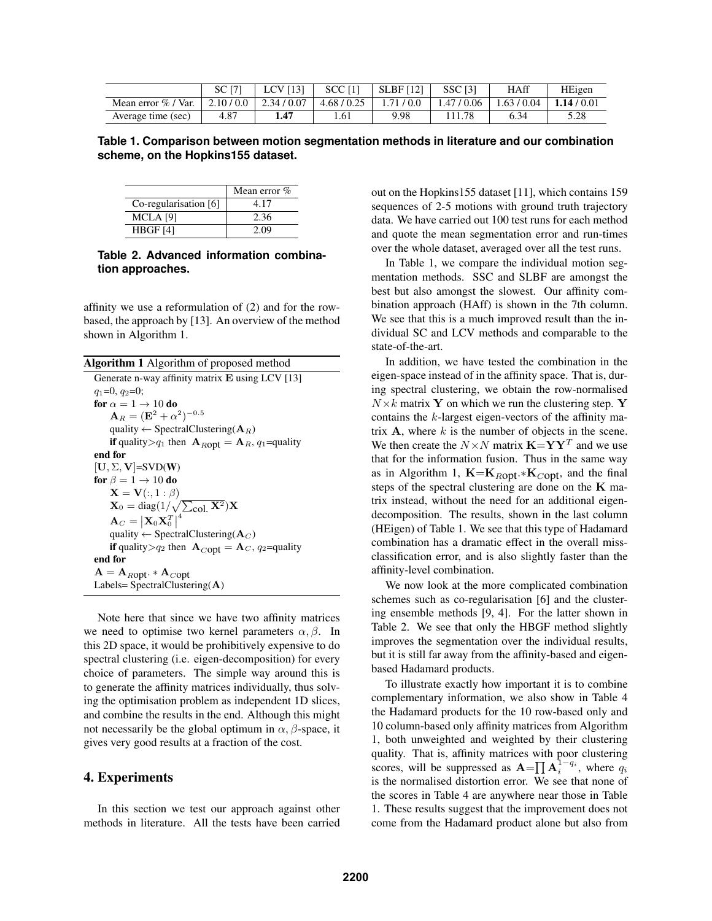|                        | <b>SC</b> [7] | <b>LCV</b> [13] | <b>SCC [1]</b> | <b>SLBF</b> [12] | <b>SSC [3]</b> | <b>HAff</b> | HEigen    |
|------------------------|---------------|-----------------|----------------|------------------|----------------|-------------|-----------|
| Mean error $\%$ / Var. | 2.10/0.0      | 2.34/0.07       | 4.68 / 0.25    | 1.71/0.0         | 1.47/0.06      | 1.63/0.04   | 1.14/0.01 |
| Average time (sec)     | 4.87          | 1.47            | 1.61           | 9.98             |                | 6.34        | 5.28      |

**Table 1. Comparison between motion segmentation methods in literature and our combination scheme, on the Hopkins155 dataset.**

|                       | Mean error $%$ |
|-----------------------|----------------|
| Co-regularisation [6] | 4.17           |
| MCLA [9]              | 2.36           |
| H BGF [4]             | 2.09           |

#### **Table 2. Advanced information combination approaches.**

affinity we use a reformulation of (2) and for the rowbased, the approach by [13]. An overview of the method shown in Algorithm 1.

| <b>Algorithm 1</b> Algorithm of proposed method                                           |
|-------------------------------------------------------------------------------------------|
| Generate n-way affinity matrix $E$ using LCV [13]                                         |
| $q_1=0, q_2=0;$                                                                           |
| for $\alpha = 1 \rightarrow 10$ do                                                        |
| ${\bf A}_R = ({\bf E}^2 + \alpha^2)^{-0.5}$                                               |
| quality $\leftarrow$ Spectral Clustering ( $\mathbf{A}_R$ )                               |
| <b>if</b> quality > $q_1$ then $\mathbf{A}_{ROpt} = \mathbf{A}_R$ , $q_1$ =quality        |
| end for                                                                                   |
| $[\mathbf{U}, \Sigma, \mathbf{V}]$ =SVD(W)                                                |
| for $\beta = 1 \rightarrow 10$ do                                                         |
| $\mathbf{X} = \mathbf{V}(:,1:\beta)$                                                      |
| $\mathbf{X}_0 = \text{diag}(1/\sqrt{\sum_{\text{col}} \mathbf{X}^2})\mathbf{X}$           |
| $\mathbf{A}_C = \left \mathbf{X}_0\mathbf{X}_0^T\right ^4$                                |
| quality $\leftarrow$ Spectral Clustering (A <sub>C</sub> )                                |
| <b>if</b> quality > $q_2$ then $\mathbf{A}_{\text{Copt}} = \mathbf{A}_C$ , $q_2$ =quality |
| end for                                                                                   |
| $A = A_{ROpt}$ * $A_{Copt}$                                                               |
| Labels= SpectralClustering $(A)$                                                          |
|                                                                                           |
|                                                                                           |

Note here that since we have two affinity matrices we need to optimise two kernel parameters  $\alpha, \beta$ . In this 2D space, it would be prohibitively expensive to do spectral clustering (i.e. eigen-decomposition) for every choice of parameters. The simple way around this is to generate the affinity matrices individually, thus solving the optimisation problem as independent 1D slices, and combine the results in the end. Although this might not necessarily be the global optimum in  $\alpha$ ,  $\beta$ -space, it gives very good results at a fraction of the cost.

#### 4. Experiments

In this section we test our approach against other methods in literature. All the tests have been carried

out on the Hopkins155 dataset [11], which contains 159 sequences of 2-5 motions with ground truth trajectory data. We have carried out 100 test runs for each method and quote the mean segmentation error and run-times over the whole dataset, averaged over all the test runs.

In Table 1, we compare the individual motion segmentation methods. SSC and SLBF are amongst the best but also amongst the slowest. Our affinity combination approach (HAff) is shown in the 7th column. We see that this is a much improved result than the individual SC and LCV methods and comparable to the state-of-the-art.

In addition, we have tested the combination in the eigen-space instead of in the affinity space. That is, during spectral clustering, we obtain the row-normalised  $N\times k$  matrix Y on which we run the clustering step. Y contains the  $k$ -largest eigen-vectors of the affinity matrix  $A$ , where k is the number of objects in the scene. We then create the  $N \times N$  matrix  $\mathbf{K} = \mathbf{YY}^T$  and we use that for the information fusion. Thus in the same way as in Algorithm 1,  $\mathbf{K} = \mathbf{K}_{Root} \cdot \mathbf{K}_{Copt}$ , and the final steps of the spectral clustering are done on the  $K$  matrix instead, without the need for an additional eigendecomposition. The results, shown in the last column (HEigen) of Table 1. We see that this type of Hadamard combination has a dramatic effect in the overall missclassification error, and is also slightly faster than the affinity-level combination.

We now look at the more complicated combination schemes such as co-regularisation [6] and the clustering ensemble methods [9, 4]. For the latter shown in Table 2. We see that only the HBGF method slightly improves the segmentation over the individual results, but it is still far away from the affinity-based and eigenbased Hadamard products.

To illustrate exactly how important it is to combine complementary information, we also show in Table 4 the Hadamard products for the 10 row-based only and 10 column-based only affinity matrices from Algorithm 1, both unweighted and weighted by their clustering quality. That is, affinity matrices with poor clustering scores, will be suppressed as  $\mathbf{A} = \prod_{i} \mathbf{A}_i^{1-q_i}$ , where  $q_i$ is the normalised distortion error. We see that none of the scores in Table 4 are anywhere near those in Table 1. These results suggest that the improvement does not come from the Hadamard product alone but also from